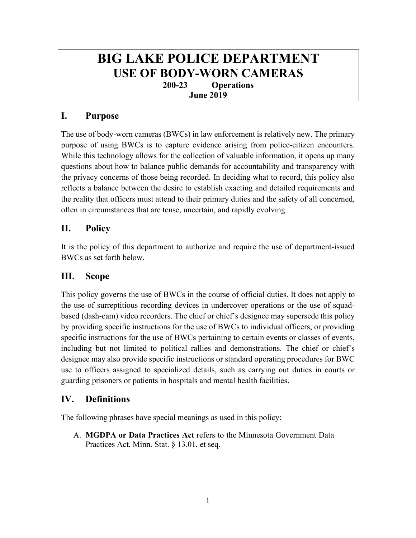# **BIG LAKE POLICE DEPARTMENT USE OF BODY-WORN CAMERAS 200-23 Operations June 2019**

# **I. Purpose**

The use of body-worn cameras (BWCs) in law enforcement is relatively new. The primary purpose of using BWCs is to capture evidence arising from police-citizen encounters. While this technology allows for the collection of valuable information, it opens up many questions about how to balance public demands for accountability and transparency with the privacy concerns of those being recorded. In deciding what to record, this policy also reflects a balance between the desire to establish exacting and detailed requirements and the reality that officers must attend to their primary duties and the safety of all concerned, often in circumstances that are tense, uncertain, and rapidly evolving.

# **II. Policy**

It is the policy of this department to authorize and require the use of department-issued BWCs as set forth below.

# **III. Scope**

This policy governs the use of BWCs in the course of official duties. It does not apply to the use of surreptitious recording devices in undercover operations or the use of squadbased (dash-cam) video recorders. The chief or chief's designee may supersede this policy by providing specific instructions for the use of BWCs to individual officers, or providing specific instructions for the use of BWCs pertaining to certain events or classes of events, including but not limited to political rallies and demonstrations. The chief or chief's designee may also provide specific instructions or standard operating procedures for BWC use to officers assigned to specialized details, such as carrying out duties in courts or guarding prisoners or patients in hospitals and mental health facilities.

# **IV. Definitions**

The following phrases have special meanings as used in this policy:

A. **MGDPA or Data Practices Act** refers to the Minnesota Government Data Practices Act, Minn. Stat. § 13.01, et seq.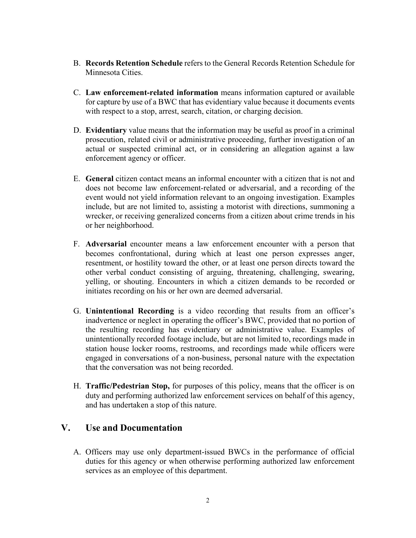- B. **Records Retention Schedule** refers to the General Records Retention Schedule for Minnesota Cities.
- C. **Law enforcement-related information** means information captured or available for capture by use of a BWC that has evidentiary value because it documents events with respect to a stop, arrest, search, citation, or charging decision.
- D. **Evidentiary** value means that the information may be useful as proof in a criminal prosecution, related civil or administrative proceeding, further investigation of an actual or suspected criminal act, or in considering an allegation against a law enforcement agency or officer.
- E. **General** citizen contact means an informal encounter with a citizen that is not and does not become law enforcement-related or adversarial, and a recording of the event would not yield information relevant to an ongoing investigation. Examples include, but are not limited to, assisting a motorist with directions, summoning a wrecker, or receiving generalized concerns from a citizen about crime trends in his or her neighborhood.
- F. **Adversarial** encounter means a law enforcement encounter with a person that becomes confrontational, during which at least one person expresses anger, resentment, or hostility toward the other, or at least one person directs toward the other verbal conduct consisting of arguing, threatening, challenging, swearing, yelling, or shouting. Encounters in which a citizen demands to be recorded or initiates recording on his or her own are deemed adversarial.
- G. **Unintentional Recording** is a video recording that results from an officer's inadvertence or neglect in operating the officer's BWC, provided that no portion of the resulting recording has evidentiary or administrative value. Examples of unintentionally recorded footage include, but are not limited to, recordings made in station house locker rooms, restrooms, and recordings made while officers were engaged in conversations of a non-business, personal nature with the expectation that the conversation was not being recorded.
- H. **Traffic/Pedestrian Stop,** for purposes of this policy, means that the officer is on duty and performing authorized law enforcement services on behalf of this agency, and has undertaken a stop of this nature.

#### **V. Use and Documentation**

A. Officers may use only department-issued BWCs in the performance of official duties for this agency or when otherwise performing authorized law enforcement services as an employee of this department.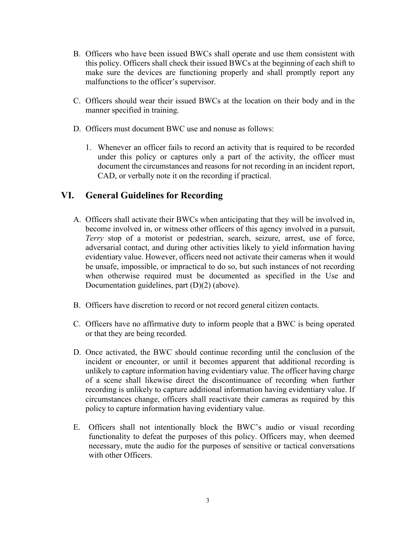- B. Officers who have been issued BWCs shall operate and use them consistent with this policy. Officers shall check their issued BWCs at the beginning of each shift to make sure the devices are functioning properly and shall promptly report any malfunctions to the officer's supervisor.
- C. Officers should wear their issued BWCs at the location on their body and in the manner specified in training.
- D. Officers must document BWC use and nonuse as follows:
	- 1. Whenever an officer fails to record an activity that is required to be recorded under this policy or captures only a part of the activity, the officer must document the circumstances and reasons for not recording in an incident report, CAD, or verbally note it on the recording if practical.

#### **VI. General Guidelines for Recording**

- A. Officers shall activate their BWCs when anticipating that they will be involved in, become involved in, or witness other officers of this agency involved in a pursuit, *Terry* stop of a motorist or pedestrian, search, seizure, arrest, use of force, adversarial contact, and during other activities likely to yield information having evidentiary value. However, officers need not activate their cameras when it would be unsafe, impossible, or impractical to do so, but such instances of not recording when otherwise required must be documented as specified in the Use and Documentation guidelines, part (D)(2) (above).
- B. Officers have discretion to record or not record general citizen contacts.
- C. Officers have no affirmative duty to inform people that a BWC is being operated or that they are being recorded.
- D. Once activated, the BWC should continue recording until the conclusion of the incident or encounter, or until it becomes apparent that additional recording is unlikely to capture information having evidentiary value. The officer having charge of a scene shall likewise direct the discontinuance of recording when further recording is unlikely to capture additional information having evidentiary value. If circumstances change, officers shall reactivate their cameras as required by this policy to capture information having evidentiary value.
- E. Officers shall not intentionally block the BWC's audio or visual recording functionality to defeat the purposes of this policy. Officers may, when deemed necessary, mute the audio for the purposes of sensitive or tactical conversations with other Officers.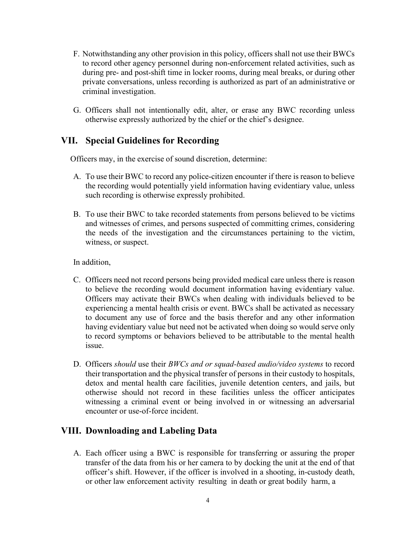- F. Notwithstanding any other provision in this policy, officers shall not use their BWCs to record other agency personnel during non-enforcement related activities, such as during pre- and post-shift time in locker rooms, during meal breaks, or during other private conversations, unless recording is authorized as part of an administrative or criminal investigation.
- G. Officers shall not intentionally edit, alter, or erase any BWC recording unless otherwise expressly authorized by the chief or the chief's designee.

#### **VII. Special Guidelines for Recording**

Officers may, in the exercise of sound discretion, determine:

- A. To use their BWC to record any police-citizen encounter if there is reason to believe the recording would potentially yield information having evidentiary value, unless such recording is otherwise expressly prohibited.
- B. To use their BWC to take recorded statements from persons believed to be victims and witnesses of crimes, and persons suspected of committing crimes, considering the needs of the investigation and the circumstances pertaining to the victim, witness, or suspect.

In addition,

- C. Officers need not record persons being provided medical care unless there is reason to believe the recording would document information having evidentiary value. Officers may activate their BWCs when dealing with individuals believed to be experiencing a mental health crisis or event. BWCs shall be activated as necessary to document any use of force and the basis therefor and any other information having evidentiary value but need not be activated when doing so would serve only to record symptoms or behaviors believed to be attributable to the mental health issue.
- D. Officers *should* use their *BWCs and or squad-based audio/video systems* to record their transportation and the physical transfer of persons in their custody to hospitals, detox and mental health care facilities, juvenile detention centers, and jails, but otherwise should not record in these facilities unless the officer anticipates witnessing a criminal event or being involved in or witnessing an adversarial encounter or use-of-force incident.

# **VIII. Downloading and Labeling Data**

A. Each officer using a BWC is responsible for transferring or assuring the proper transfer of the data from his or her camera to by docking the unit at the end of that officer's shift. However, if the officer is involved in a shooting, in-custody death, or other law enforcement activity resulting in death or great bodily harm, a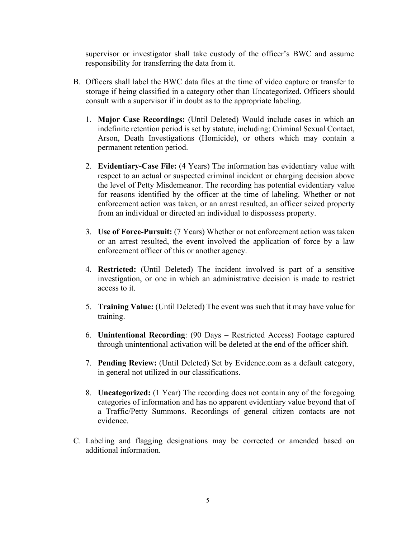supervisor or investigator shall take custody of the officer's BWC and assume responsibility for transferring the data from it.

- B. Officers shall label the BWC data files at the time of video capture or transfer to storage if being classified in a category other than Uncategorized. Officers should consult with a supervisor if in doubt as to the appropriate labeling.
	- 1. **Major Case Recordings:** (Until Deleted) Would include cases in which an indefinite retention period is set by statute, including; Criminal Sexual Contact, Arson, Death Investigations (Homicide), or others which may contain a permanent retention period.
	- 2. **Evidentiary-Case File:** (4 Years) The information has evidentiary value with respect to an actual or suspected criminal incident or charging decision above the level of Petty Misdemeanor. The recording has potential evidentiary value for reasons identified by the officer at the time of labeling. Whether or not enforcement action was taken, or an arrest resulted, an officer seized property from an individual or directed an individual to dispossess property.
	- 3. **Use of Force-Pursuit:** (7 Years) Whether or not enforcement action was taken or an arrest resulted, the event involved the application of force by a law enforcement officer of this or another agency.
	- 4. **Restricted:** (Until Deleted) The incident involved is part of a sensitive investigation, or one in which an administrative decision is made to restrict access to it.
	- 5. **Training Value:** (Until Deleted) The event was such that it may have value for training.
	- 6. **Unintentional Recording**: (90 Days Restricted Access) Footage captured through unintentional activation will be deleted at the end of the officer shift.
	- 7. **Pending Review:** (Until Deleted) Set by Evidence.com as a default category, in general not utilized in our classifications.
	- 8. **Uncategorized:** (1 Year) The recording does not contain any of the foregoing categories of information and has no apparent evidentiary value beyond that of a Traffic/Petty Summons. Recordings of general citizen contacts are not evidence.
- C. Labeling and flagging designations may be corrected or amended based on additional information.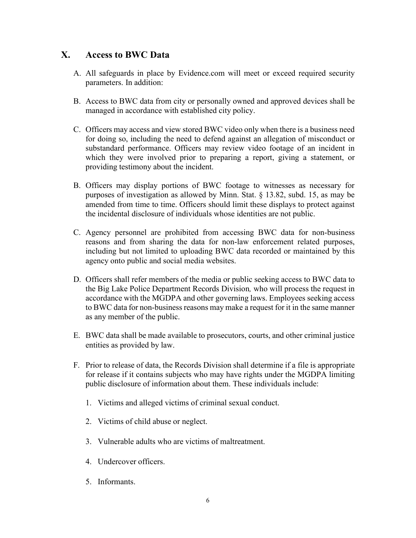#### **X. Access to BWC Data**

- A. All safeguards in place by Evidence.com will meet or exceed required security parameters. In addition:
- B. Access to BWC data from city or personally owned and approved devices shall be managed in accordance with established city policy.
- C. Officers may access and view stored BWC video only when there is a business need for doing so, including the need to defend against an allegation of misconduct or substandard performance. Officers may review video footage of an incident in which they were involved prior to preparing a report, giving a statement, or providing testimony about the incident.
- B. Officers may display portions of BWC footage to witnesses as necessary for purposes of investigation as allowed by Minn. Stat. § 13.82, subd. 15, as may be amended from time to time. Officers should limit these displays to protect against the incidental disclosure of individuals whose identities are not public.
- C. Agency personnel are prohibited from accessing BWC data for non-business reasons and from sharing the data for non-law enforcement related purposes, including but not limited to uploading BWC data recorded or maintained by this agency onto public and social media websites.
- D. Officers shall refer members of the media or public seeking access to BWC data to the Big Lake Police Department Records Division*,* who will process the request in accordance with the MGDPA and other governing laws. Employees seeking access to BWC data for non-business reasons may make a request for it in the same manner as any member of the public.
- E. BWC data shall be made available to prosecutors, courts, and other criminal justice entities as provided by law.
- F. Prior to release of data, the Records Division shall determine if a file is appropriate for release if it contains subjects who may have rights under the MGDPA limiting public disclosure of information about them. These individuals include:
	- 1. Victims and alleged victims of criminal sexual conduct.
	- 2. Victims of child abuse or neglect.
	- 3. Vulnerable adults who are victims of maltreatment.
	- 4. Undercover officers.
	- 5. Informants.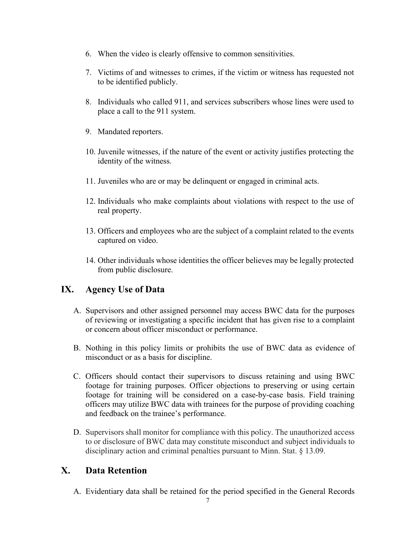- 6. When the video is clearly offensive to common sensitivities.
- 7. Victims of and witnesses to crimes, if the victim or witness has requested not to be identified publicly.
- 8. Individuals who called 911, and services subscribers whose lines were used to place a call to the 911 system.
- 9. Mandated reporters.
- 10. Juvenile witnesses, if the nature of the event or activity justifies protecting the identity of the witness.
- 11. Juveniles who are or may be delinquent or engaged in criminal acts.
- 12. Individuals who make complaints about violations with respect to the use of real property.
- 13. Officers and employees who are the subject of a complaint related to the events captured on video.
- 14. Other individuals whose identities the officer believes may be legally protected from public disclosure.

# **IX. Agency Use of Data**

- A. Supervisors and other assigned personnel may access BWC data for the purposes of reviewing or investigating a specific incident that has given rise to a complaint or concern about officer misconduct or performance.
- B. Nothing in this policy limits or prohibits the use of BWC data as evidence of misconduct or as a basis for discipline.
- C. Officers should contact their supervisors to discuss retaining and using BWC footage for training purposes. Officer objections to preserving or using certain footage for training will be considered on a case-by-case basis. Field training officers may utilize BWC data with trainees for the purpose of providing coaching and feedback on the trainee's performance.
- D. Supervisors shall monitor for compliance with this policy. The unauthorized access to or disclosure of BWC data may constitute misconduct and subject individuals to disciplinary action and criminal penalties pursuant to Minn. Stat. § 13.09.

# **X. Data Retention**

A. Evidentiary data shall be retained for the period specified in the General Records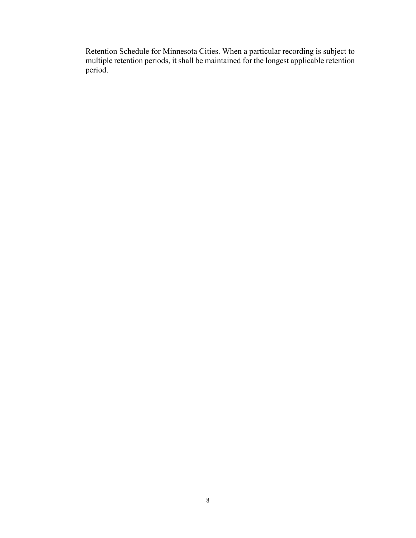Retention Schedule for Minnesota Cities. When a particular recording is subject to multiple retention periods, it shall be maintained for the longest applicable retention period.